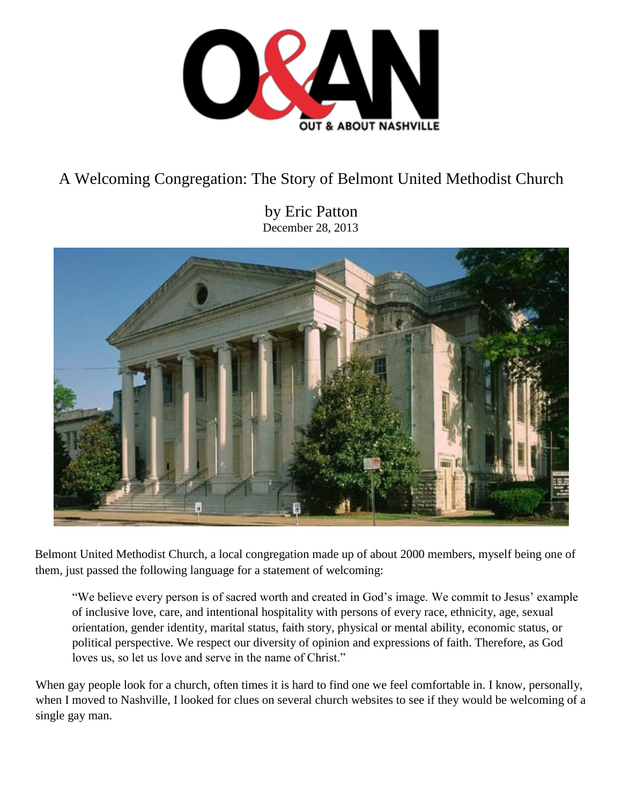

# A Welcoming Congregation: The Story of Belmont United Methodist Church

by Eric Patton December 28, 2013



Belmont United Methodist Church, a local congregation made up of about 2000 members, myself being one of them, just passed the following language for a statement of welcoming:

"We believe every person is of sacred worth and created in God's image. We commit to Jesus' example of inclusive love, care, and intentional hospitality with persons of every race, ethnicity, age, sexual orientation, gender identity, marital status, faith story, physical or mental ability, economic status, or political perspective. We respect our diversity of opinion and expressions of faith. Therefore, as God loves us, so let us love and serve in the name of Christ."

When gay people look for a church, often times it is hard to find one we feel comfortable in. I know, personally, when I moved to Nashville, I looked for clues on several church websites to see if they would be welcoming of a single gay man.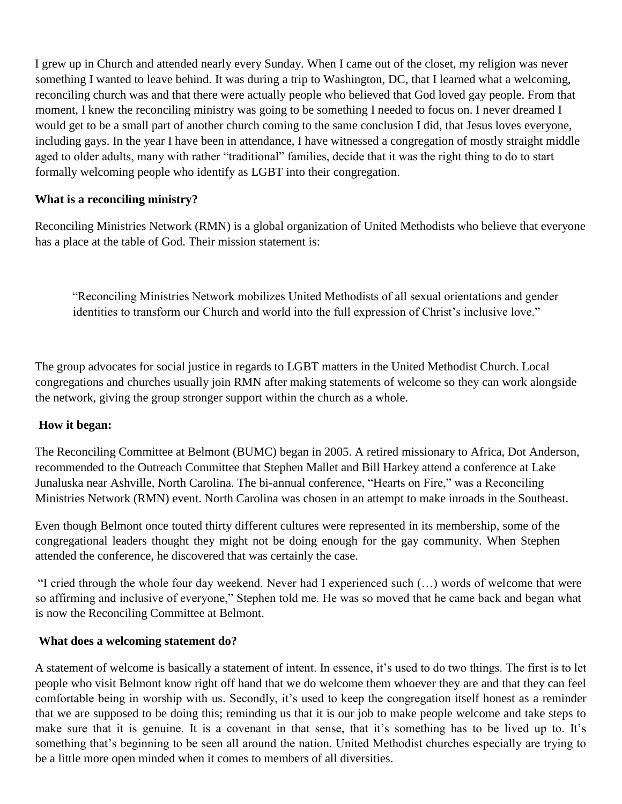I grew up in Church and attended nearly every Sunday. When I came out of the closet, my religion was never something I wanted to leave behind. It was during a trip to Washington, DC, that I learned what a welcoming, reconciling church was and that there were actually people who believed that God loved gay people. From that moment, I knew the reconciling ministry was going to be something I needed to focus on. I never dreamed I would get to be a small part of another church coming to the same conclusion I did, that Jesus loves everyone, including gays. In the year I have been in attendance, I have witnessed a congregation of mostly straight middle aged to older adults, many with rather "traditional" families, decide that it was the right thing to do to start formally welcoming people who identify as LGBT into their congregation.

## **What is a reconciling ministry?**

Reconciling Ministries Network (RMN) is a global organization of United Methodists who believe that everyone has a place at the table of God. Their mission statement is:

"Reconciling Ministries Network mobilizes United Methodists of all sexual orientations and gender identities to transform our Church and world into the full expression of Christ's inclusive love."

The group advocates for social justice in regards to LGBT matters in the United Methodist Church. Local congregations and churches usually join RMN after making statements of welcome so they can work alongside the network, giving the group stronger support within the church as a whole.

## **How it began:**

The Reconciling Committee at Belmont (BUMC) began in 2005. A retired missionary to Africa, Dot Anderson, recommended to the Outreach Committee that Stephen Mallet and Bill Harkey attend a conference at Lake Junaluska near Ashville, North Carolina. The bi-annual conference, "Hearts on Fire," was a Reconciling Ministries Network (RMN) event. North Carolina was chosen in an attempt to make inroads in the Southeast.

Even though Belmont once touted thirty different cultures were represented in its membership, some of the congregational leaders thought they might not be doing enough for the gay community. When Stephen attended the conference, he discovered that was certainly the case.

"I cried through the whole four day weekend. Never had I experienced such (…) words of welcome that were so affirming and inclusive of everyone," Stephen told me. He was so moved that he came back and began what is now the Reconciling Committee at Belmont.

## **What does a welcoming statement do?**

A statement of welcome is basically a statement of intent. In essence, it's used to do two things. The first is to let people who visit Belmont know right off hand that we do welcome them whoever they are and that they can feel comfortable being in worship with us. Secondly, it's used to keep the congregation itself honest as a reminder that we are supposed to be doing this; reminding us that it is our job to make people welcome and take steps to make sure that it is genuine. It is a covenant in that sense, that it's something has to be lived up to. It's something that's beginning to be seen all around the nation. United Methodist churches especially are trying to be a little more open minded when it comes to members of all diversities.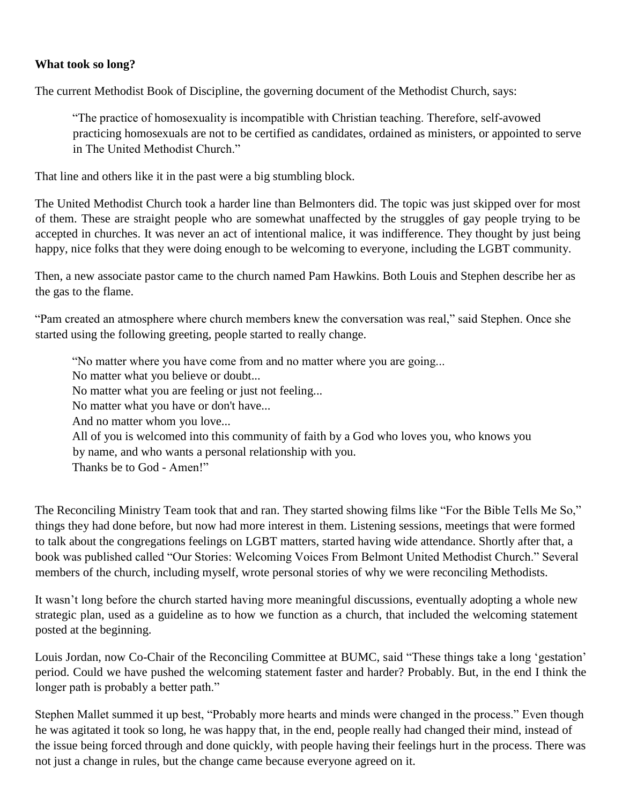#### **What took so long?**

The current Methodist Book of Discipline, the governing document of the Methodist Church, says:

"The practice of homosexuality is incompatible with Christian teaching. Therefore, self-avowed practicing homosexuals are not to be certified as candidates, ordained as ministers, or appointed to serve in The United Methodist Church."

That line and others like it in the past were a big stumbling block.

The United Methodist Church took a harder line than Belmonters did. The topic was just skipped over for most of them. These are straight people who are somewhat unaffected by the struggles of gay people trying to be accepted in churches. It was never an act of intentional malice, it was indifference. They thought by just being happy, nice folks that they were doing enough to be welcoming to everyone, including the LGBT community.

Then, a new associate pastor came to the church named Pam Hawkins. Both Louis and Stephen describe her as the gas to the flame.

"Pam created an atmosphere where church members knew the conversation was real," said Stephen. Once she started using the following greeting, people started to really change.

"No matter where you have come from and no matter where you are going...

- No matter what you believe or doubt...
- No matter what you are feeling or just not feeling...
- No matter what you have or don't have...
- And no matter whom you love...
- All of you is welcomed into this community of faith by a God who loves you, who knows you
- by name, and who wants a personal relationship with you.
- Thanks be to God Amen!"

The Reconciling Ministry Team took that and ran. They started showing films like "For the Bible Tells Me So," things they had done before, but now had more interest in them. Listening sessions, meetings that were formed to talk about the congregations feelings on LGBT matters, started having wide attendance. Shortly after that, a book was published called "Our Stories: Welcoming Voices From Belmont United Methodist Church." Several members of the church, including myself, wrote personal stories of why we were reconciling Methodists.

It wasn't long before the church started having more meaningful discussions, eventually adopting a whole new strategic plan, used as a guideline as to how we function as a church, that included the welcoming statement posted at the beginning.

Louis Jordan, now Co-Chair of the Reconciling Committee at BUMC, said "These things take a long 'gestation' period. Could we have pushed the welcoming statement faster and harder? Probably. But, in the end I think the longer path is probably a better path."

Stephen Mallet summed it up best, "Probably more hearts and minds were changed in the process." Even though he was agitated it took so long, he was happy that, in the end, people really had changed their mind, instead of the issue being forced through and done quickly, with people having their feelings hurt in the process. There was not just a change in rules, but the change came because everyone agreed on it.